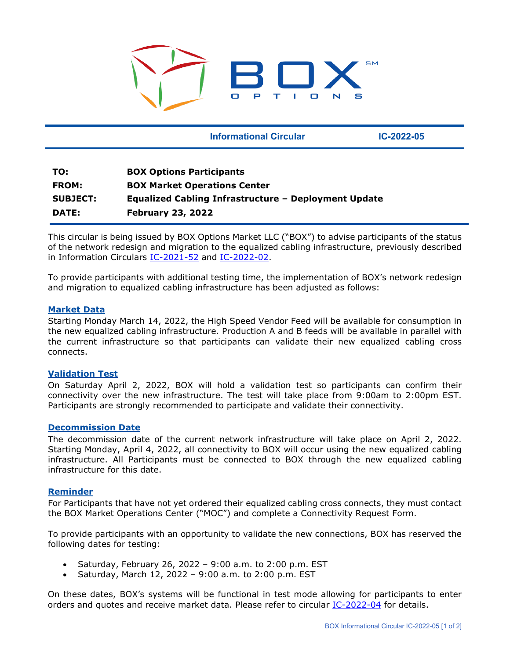

 **Informational Circular IC-2022-05**

| TO:             | <b>BOX Options Participants</b>                             |
|-----------------|-------------------------------------------------------------|
| <b>FROM:</b>    | <b>BOX Market Operations Center</b>                         |
| <b>SUBJECT:</b> | <b>Equalized Cabling Infrastructure - Deployment Update</b> |
| DATE:           | <b>February 23, 2022</b>                                    |

This circular is being issued by BOX Options Market LLC ("BOX") to advise participants of the status of the network redesign and migration to the equalized cabling infrastructure, previously described in Information Circulars [IC-2021-52](https://boxoptions.com/assets/IC-2021-52-BOX-Network-Redesign-and-Migration-to-Equalized-Cabling-Infrastructure.pdf) and [IC-2022-02.](https://boxoptions.com/assets/IC-2022-02-Equal-Distance-Cabling.pdf)

To provide participants with additional testing time, the implementation of BOX's network redesign and migration to equalized cabling infrastructure has been adjusted as follows:

## **Market Data**

Starting Monday March 14, 2022, the High Speed Vendor Feed will be available for consumption in the new equalized cabling infrastructure. Production A and B feeds will be available in parallel with the current infrastructure so that participants can validate their new equalized cabling cross connects.

### **Validation Test**

On Saturday April 2, 2022, BOX will hold a validation test so participants can confirm their connectivity over the new infrastructure. The test will take place from 9:00am to 2:00pm EST. Participants are strongly recommended to participate and validate their connectivity.

### **Decommission Date**

The decommission date of the current network infrastructure will take place on April 2, 2022. Starting Monday, April 4, 2022, all connectivity to BOX will occur using the new equalized cabling infrastructure. All Participants must be connected to BOX through the new equalized cabling infrastructure for this date.

### **Reminder**

For Participants that have not yet ordered their equalized cabling cross connects, they must contact the BOX Market Operations Center ("MOC") and complete a Connectivity Request Form.

To provide participants with an opportunity to validate the new connections, BOX has reserved the following dates for testing:

- Saturday, February 26, 2022 9:00 a.m. to 2:00 p.m. EST
- Saturday, March 12, 2022 9:00 a.m. to 2:00 p.m. EST

On these dates, BOX's systems will be functional in test mode allowing for participants to enter orders and quotes and receive market data. Please refer to circular [IC-2022-04](https://boxoptions.com/assets/IC-2022-04-Equalized-Cabling-Infrastructure-Test-Dates.pdf) for details.